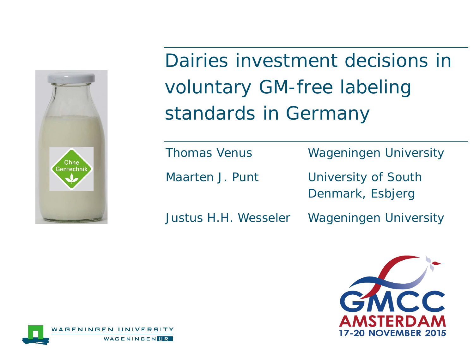

Dairies investment decisions in voluntary GM-free labeling standards in Germany

Thomas Venus Wageningen University

Maarten J. Punt University of South Denmark, Esbjerg

Justus H.H. Wesseler Wageningen University



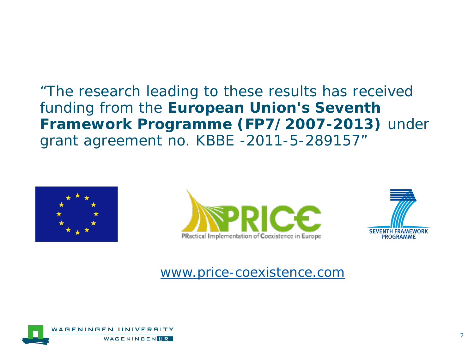"The research leading to these results has received funding from the **European Union's Seventh Framework Programme (FP7/2007-2013)** under grant agreement no. KBBE -2011-5-289157"







[www.price-coexistence.com](http://www.price-coexistence.com/)

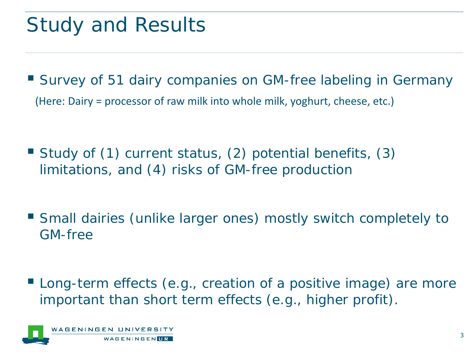# Study and Results

 Survey of 51 dairy companies on GM-free labeling in Germany (Here: Dairy = processor of raw milk into whole milk, yoghurt, cheese, etc.)

- Study of (1) current status, (2) potential benefits, (3) limitations, and (4) risks of GM-free production
- Small dairies (unlike larger ones) mostly switch completely to GM-free
- **Long-term effects (e.g., creation of a positive image) are more** important than short term effects (e.g., higher profit).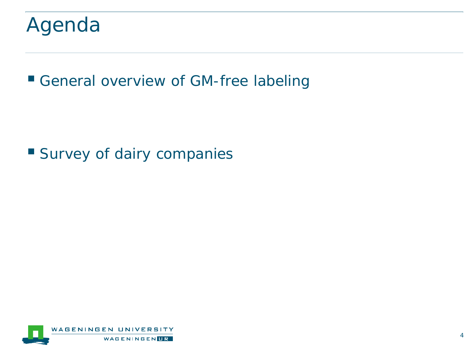

**General overview of GM-free labeling** 

**Survey of dairy companies** 

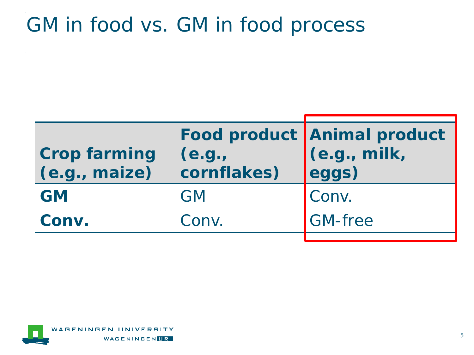### GM in food vs. GM in food process

| <b>Crop farming</b><br>(e.g., maize) | (e.g.,<br>cornflakes) | Food product Animal product<br>(e.g., milk, |
|--------------------------------------|-----------------------|---------------------------------------------|
| <b>GM</b>                            | <b>GM</b>             | Conv.                                       |
| Conv.                                | Conv.                 | <b>GM-free</b>                              |
|                                      |                       |                                             |

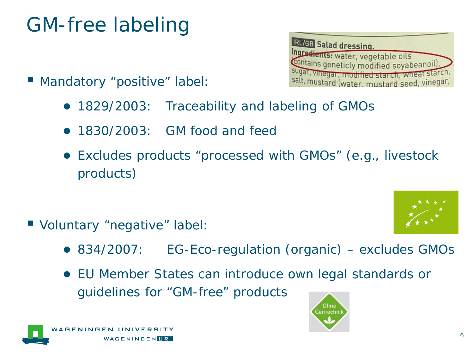## GM-free labeling

IRL/GB Salad dressing. Ingredients: water, vegetable oils<br>Contains geneticly modified soyabeanoil), sugar, vinegar, modified starch, wheat starch salt, mustard (water, mustard seed, vinegar,

- Mandatory "positive" label:
	- 1829/2003: Traceability and labeling of GMOs
	- 1830/2003: GM food and feed
	- Excludes products "processed with GMOs" (e.g., livestock products)

- Voluntary "negative" label:
	- 834/2007: EG-Eco-regulation (organic) excludes GMOs

Ohne Gentechn

● EU Member States can introduce own legal standards or guidelines for "GM-free" products



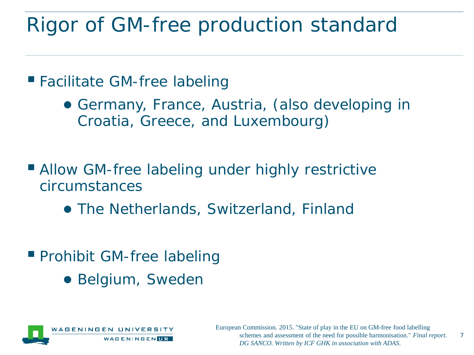## Rigor of GM-free production standard

■ Facilitate GM-free labeling

- Germany, France, Austria, (also developing in Croatia, Greece, and Luxembourg)
- **Allow GM-free labeling under highly restrictive** circumstances
	- The Netherlands, Switzerland, Finland
- **Prohibit GM-free labeling** 
	- Belgium, Sweden

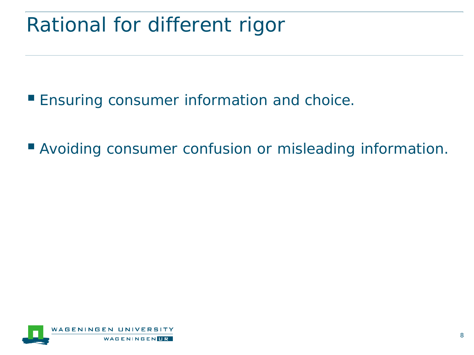## Rational for different rigor

**Ensuring consumer information and choice.** 

**Avoiding consumer confusion or misleading information.** 

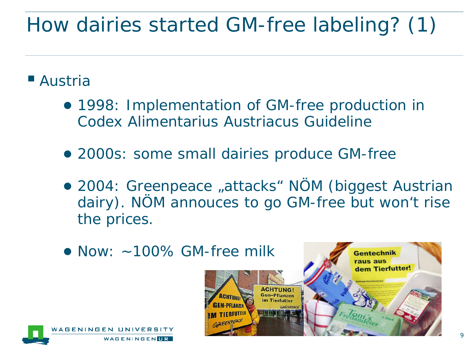# How dairies started GM-free labeling? (1)

#### ■ Austria

- 1998: Implementation of GM-free production in Codex Alimentarius Austriacus Guideline
- 2000s: some small dairies produce GM-free
- 2004: Greenpeace "attacks" NÖM (biggest Austrian dairy). NÖM annouces to go GM-free but won't rise the prices.

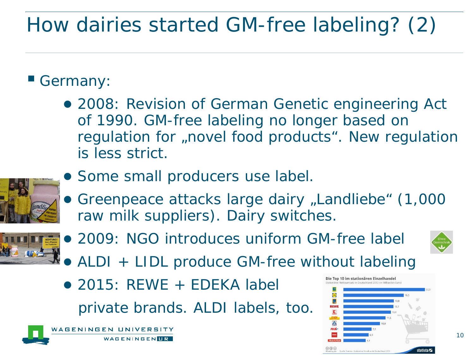# How dairies started GM-free labeling? (2)

#### Germany:

● 2008: Revision of German Genetic engineering Act of 1990. GM-free labeling no longer based on regulation for "novel food products". New regulation is less strict.



- Some small producers use label.
- **Greenpeace attacks large dairy "Landliebe" (1,000** raw milk suppliers). Dairy switches.



● 2009: NGO introduces uniform GM-free label



- ALDI + LIDL produce GM-free without labeling
- $\bullet$  2015: REWE + EDEKA label private brands. ALDI labels, too.

AGENINGEN UNIVERSITY WAGENINGENIR

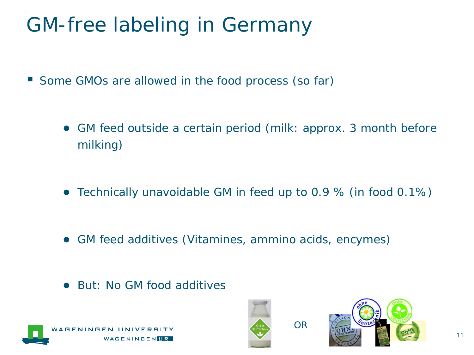# GM-free labeling in Germany

- Some GMOs are allowed in the food process (so far)
	- GM feed outside a certain period (milk: approx. 3 month before milking)
	- Technically unavoidable GM in feed up to 0.9 % (in food 0.1%)
	- GM feed additives (Vitamines, ammino acids, encymes)
	- But: No GM food additives





OR

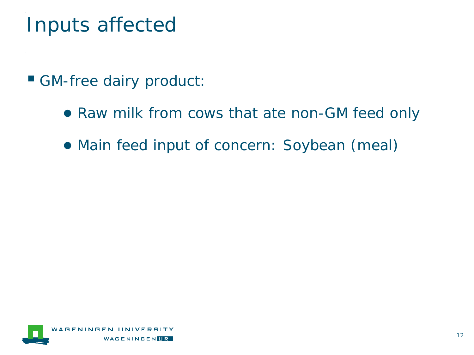### Inputs affected

- GM-free dairy product:
	- Raw milk from cows that ate non-GM feed only
	- Main feed input of concern: Soybean (meal)

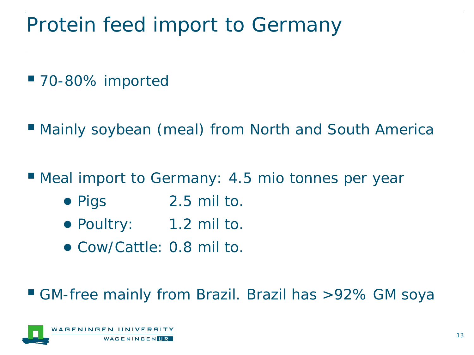## Protein feed import to Germany

- 70-80% imported
- Mainly soybean (meal) from North and South America
- Meal import to Germany: 4.5 mio tonnes per year
	- Pigs 2.5 mil to.
	- Poultry: 1.2 mil to.
	- Cow/Cattle: 0.8 mil to.

#### GM-free mainly from Brazil. Brazil has >92% GM soya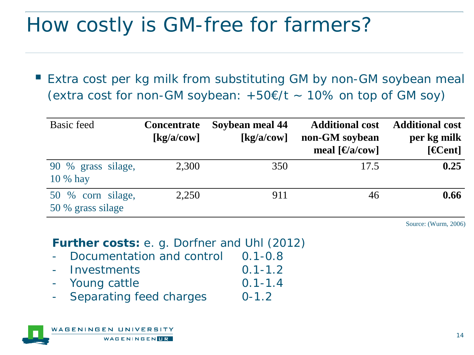## How costly is GM-free for farmers?

 Extra cost per kg milk from substituting GM by non-GM soybean meal (extra cost for non-GM soybean:  $+50\epsilon/t \sim 10\%$  on top of GM soy)

| <b>Basic feed</b>                      | <b>Concentrate</b><br>$\left[\frac{\text{kg}}{\text{a}/\text{cow}}\right]$ | Soybean meal 44<br>$\left[\frac{kg}{a}\right]$ | <b>Additional cost</b><br>non-GM soybean<br>meal $\lceil \Theta a \rceil$ | <b>Additional cost</b><br>per kg milk<br>[ <b>4 Cent</b> ] |
|----------------------------------------|----------------------------------------------------------------------------|------------------------------------------------|---------------------------------------------------------------------------|------------------------------------------------------------|
| 90 % grass silage,<br>10 % hay         | 2,300                                                                      | 350                                            | 17.5                                                                      | 0.25                                                       |
| 50 % corn silage,<br>50 % grass silage | 2.250                                                                      | 911                                            | 46                                                                        | 0.66                                                       |

Source: (Wurm, 2006)

**Further costs:** e. g. Dorfner and Uhl (2012)

- Documentation and control 0.1-0.8
- Investments 0.1-1.2
- Young cattle 0.1-1.4
- Separating feed charges 0-1.2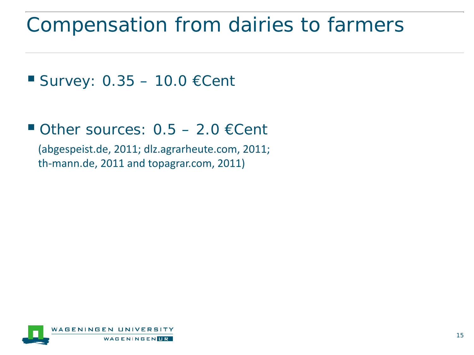### Compensation from dairies to farmers

```
Survey: 0.35 - 10.0 ECent
```
Other sources:  $0.5 - 2.0$  € Cent

(abgespeist.de, 2011; dlz.agrarheute.com, 2011; th-mann.de, 2011 and topagrar.com, 2011)

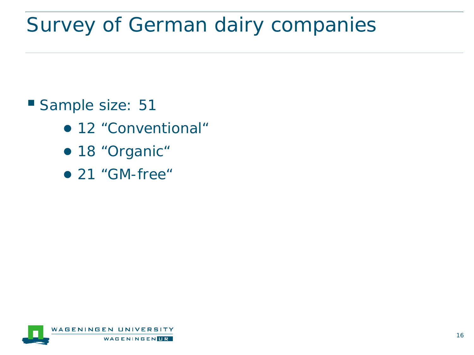# Survey of German dairy companies

#### Sample size: 51

- 12 "Conventional"
- 18 "Organic"
- 21 "GM-free"

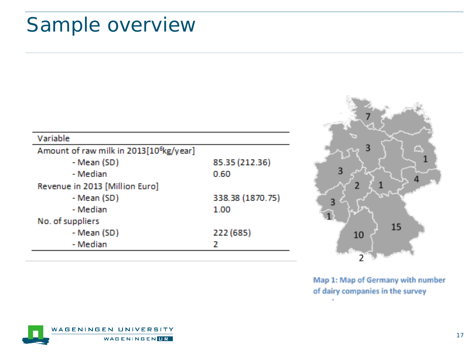## Sample overview

| Variable                                            |                  |
|-----------------------------------------------------|------------------|
| Amount of raw milk in 2013[10 <sup>6</sup> kg/year] |                  |
| - Mean (SD)                                         | 85.35 (212.36)   |
| - Median                                            | 0.60             |
| Revenue in 2013 [Million Euro]                      |                  |
| - Mean (SD)                                         | 338.38 (1870.75) |
| - Median                                            | 1.00             |
| No. of suppliers                                    |                  |
| - Mean (SD)                                         | 222 (685)        |
| - Median                                            |                  |



Map 1: Map of Germany with number of dairy companies in the survey

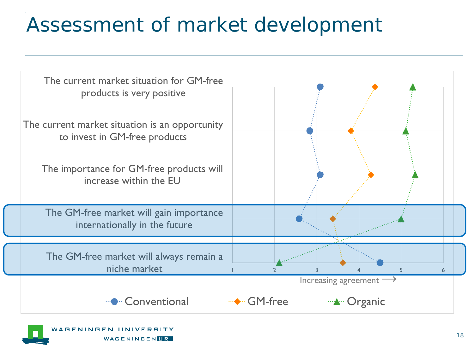## Assessment of market development

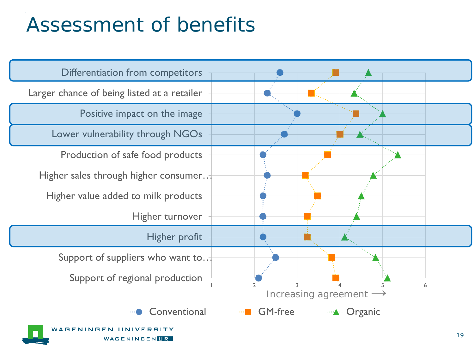### Assessment of benefits

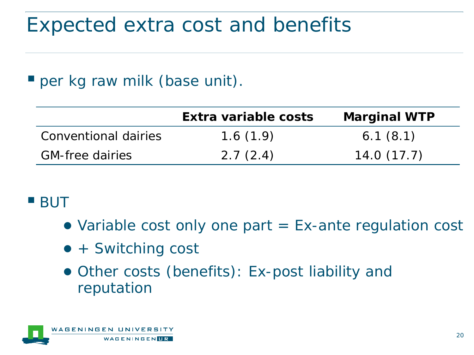## Expected extra cost and benefits

#### **P** per kg raw milk (base unit).

|                        | Extra variable costs | <b>Marginal WTP</b> |
|------------------------|----------------------|---------------------|
| Conventional dairies   | 1.6(1.9)             | 6.1(8.1)            |
| <b>GM-free dairies</b> | 2.7(2.4)             | 14.0(17.7)          |

#### **BUT**

- Variable cost only one part  $=$  Ex-ante regulation cost
- + Switching cost
- Other costs (benefits): Ex-post liability and reputation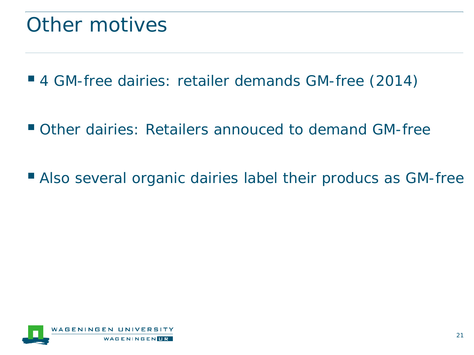### Other motives

■ 4 GM-free dairies: retailer demands GM-free (2014)

Other dairies: Retailers annouced to demand GM-free

Also several organic dairies label their producs as GM-free

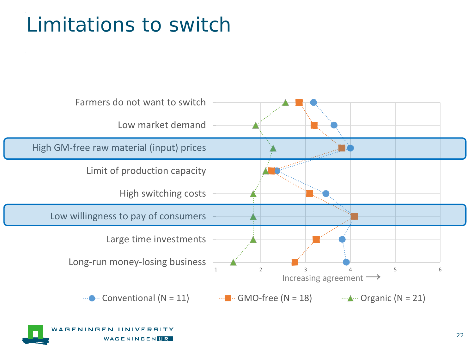# Limitations to switch



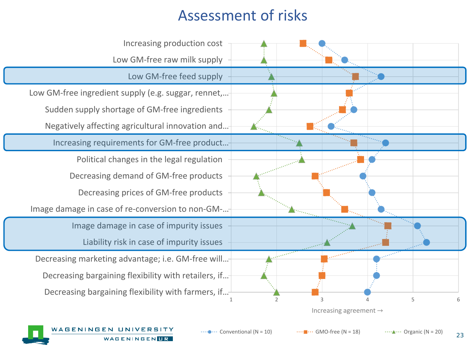#### Assessment of risks



23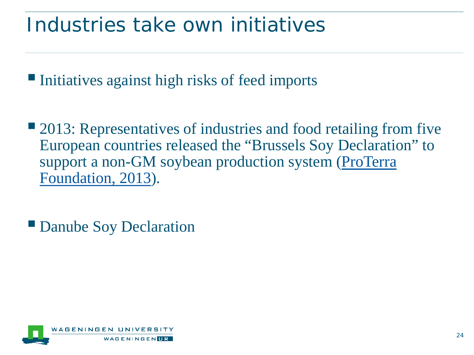### Industries take own initiatives

Initiatives against high risks of feed imports

■ 2013: Representatives of industries and food retailing from five European countries released the "Brussels Soy Declaration" to support a non-GM soybean production system (ProTerra Foundation, 2013).

■ Danube Soy Declaration

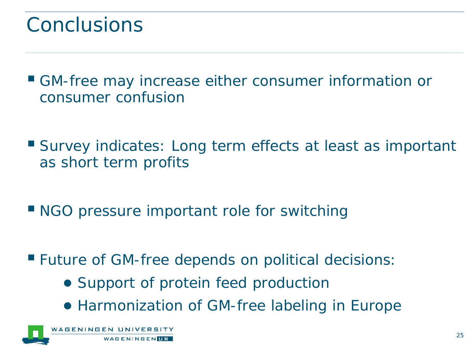## Conclusions

- GM-free may increase either consumer information or consumer confusion
- Survey indicates: Long term effects at least as important as short term profits
- NGO pressure important role for switching
- **Future of GM-free depends on political decisions:** 
	- Support of protein feed production
	- Harmonization of GM-free labeling in Europe